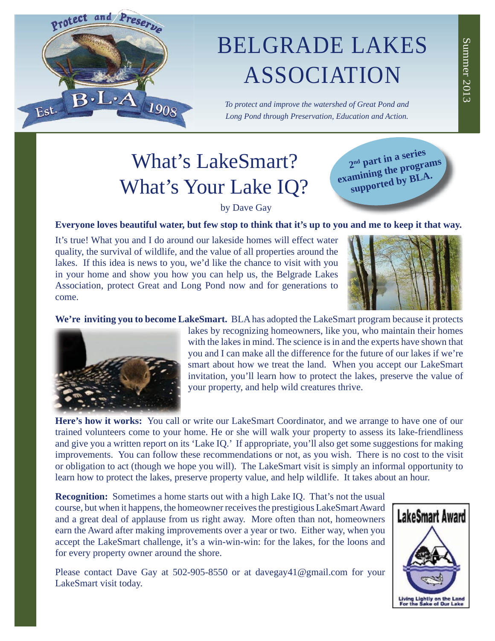# Protect and Preserve 1908 Est.

## BELGRADE LAKES ASSOCIATION

*To protect and improve the watershed of Great Pond and Long Pond through Preservation, Education and Action.*

## What's LakeSmart? What's Your Lake IQ?

**2nd part in a series examining the programs supported by BLA.**

### by Dave Gay

**Everyone loves beautiful water, but few stop to think that it's up to you and me to keep it that way.** 

It's true! What you and I do around our lakeside homes will effect water quality, the survival of wildlife, and the value of all properties around the lakes. If this idea is news to you, we'd like the chance to visit with you in your home and show you how you can help us, the Belgrade Lakes Association, protect Great and Long Pond now and for generations to come.



**We're inviting you to become LakeSmart.** BLA has adopted the LakeSmart program because it protects



lakes by recognizing homeowners, like you, who maintain their homes with the lakes in mind. The science is in and the experts have shown that you and I can make all the difference for the future of our lakes if we're smart about how we treat the land. When you accept our LakeSmart invitation, you'll learn how to protect the lakes, preserve the value of your property, and help wild creatures thrive.

**Here's how it works:** You call or write our LakeSmart Coordinator, and we arrange to have one of our trained volunteers come to your home. He or she will walk your property to assess its lake-friendliness and give you a written report on its 'Lake IQ.' If appropriate, you'll also get some suggestions for making improvements. You can follow these recommendations or not, as you wish. There is no cost to the visit or obligation to act (though we hope you will). The LakeSmart visit is simply an informal opportunity to learn how to protect the lakes, preserve property value, and help wildlife. It takes about an hour.

**Recognition:** Sometimes a home starts out with a high Lake IQ. That's not the usual course, but when it happens, the homeowner receives the prestigious LakeSmart Award and a great deal of applause from us right away. More often than not, homeowners earn the Award after making improvements over a year or two. Either way, when you accept the LakeSmart challenge, it's a win-win-win: for the lakes, for the loons and for every property owner around the shore.

Please contact Dave Gay at 502-905-8550 or at davegay41@gmail.com for your LakeSmart visit today.

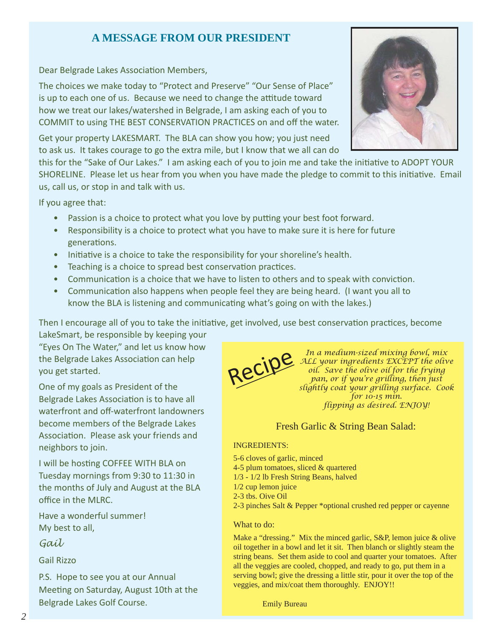## **A MESSAGE FROM OUR PRESIDENT**

Dear Belgrade Lakes Association Members,

The choices we make today to "Protect and Preserve" "Our Sense of Place" is up to each one of us. Because we need to change the attitude toward how we treat our lakes/watershed in Belgrade, I am asking each of you to COMMIT to using THE BEST CONSERVATION PRACTICES on and off the water.

Get your property LAKESMART. The BLA can show you how; you just need to ask us. It takes courage to go the extra mile, but I know that we all can do

this for the "Sake of Our Lakes." I am asking each of you to join me and take the initiative to ADOPT YOUR SHORELINE. Please let us hear from you when you have made the pledge to commit to this initiative. Email us, call us, or stop in and talk with us.

If you agree that:

- Passion is a choice to protect what you love by putting your best foot forward.
- Responsibility is a choice to protect what you have to make sure it is here for future generations.
- Initiative is a choice to take the responsibility for your shoreline's health.
- Teaching is a choice to spread best conservation practices.
- Communication is a choice that we have to listen to others and to speak with conviction.
- Communication also happens when people feel they are being heard. (I want you all to know the BLA is listening and communicating what's going on with the lakes.)

Then I encourage all of you to take the initiative, get involved, use best conservation practices, become

LakeSmart, be responsible by keeping your "Eyes On The Water," and let us know how the Belgrade Lakes Association can help you get started.

One of my goals as President of the Belgrade Lakes Association is to have all waterfront and off-waterfront landowners become members of the Belgrade Lakes Association. Please ask your friends and neighbors to join.

I will be hosting COFFEE WITH BLA on Tuesday mornings from 9:30 to 11:30 in the months of July and August at the BLA office in the MLRC.

Have a wonderful summer! My best to all,

*Gail*

Gail Rizzo

P.S. Hope to see you at our Annual Meeting on Saturday, August 10th at the Belgrade Lakes Golf Course.





In a medium-sized mixing bowl, mix<br>ALL your ingredients EXCEPT the olive<br>oil. Save the olive oil for the frying<br>pan, or if you're grilling, then just *ALL your ingredients EXCEPT the olive oil. Save the olive oil for the frying pan, or if you're grilling, then just slightly coat your grilling surface. Cook for 10-15 min. flipping as desired. ENJOY!*

### Fresh Garlic & String Bean Salad:

#### INGREDIENTS:

5-6 cloves of garlic, minced 4-5 plum tomatoes, sliced & quartered 1/3 - 1/2 lb Fresh String Beans, halved 1/2 cup lemon juice 2-3 tbs. Oive Oil 2-3 pinches Salt & Pepper \*optional crushed red pepper or cayenne

#### What to do:

Make a "dressing." Mix the minced garlic, S&P, lemon juice & olive oil together in a bowl and let it sit. Then blanch or slightly steam the string beans. Set them aside to cool and quarter your tomatoes. After all the veggies are cooled, chopped, and ready to go, put them in a serving bowl; give the dressing a little stir, pour it over the top of the veggies, and mix/coat them thoroughly. ENJOY!!

Emily Bureau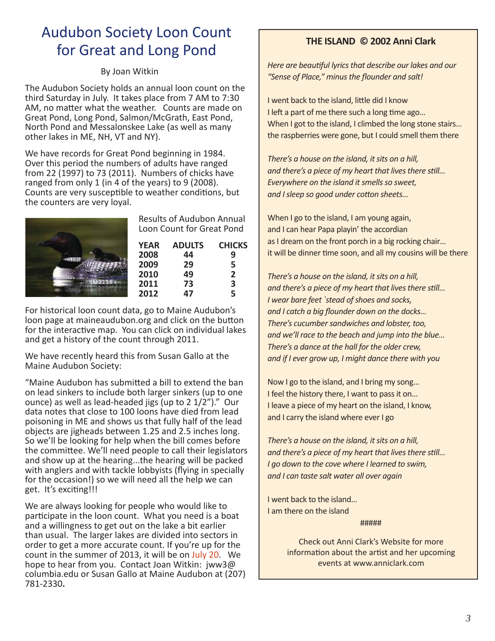## Audubon Society Loon Count for Great and Long Pond

#### By Joan Witkin

The Audubon Society holds an annual loon count on the third Saturday in July. It takes place from 7 AM to 7:30 AM, no matter what the weather. Counts are made on Great Pond, Long Pond, Salmon/McGrath, East Pond, North Pond and Messalonskee Lake (as well as many other lakes in ME, NH, VT and NY).

We have records for Great Pond beginning in 1984. Over this period the numbers of adults have ranged from 22 (1997) to 73 (2011). Numbers of chicks have ranged from only 1 (in 4 of the years) to 9 (2008). Counts are very susceptible to weather conditions, but the counters are very loyal.

| <b>Results of Audubon Annual</b><br>Loon Count for Great Pond |               |                |
|---------------------------------------------------------------|---------------|----------------|
| <b>YEAR</b>                                                   | <b>ADULTS</b> | <b>CHICKS</b>  |
| 2008                                                          | 44            | 9              |
| 2009                                                          | 29            | 5              |
| 2010                                                          | 49            | $\overline{2}$ |
| 2011                                                          | 73            | 3              |
| 2012                                                          | Δ7            | 5              |

For historical loon count data, go to Maine Audubon's loon page at maineaudubon.org and click on the button for the interactive map. You can click on individual lakes and get a history of the count through 2011.

We have recently heard this from Susan Gallo at the Maine Audubon Society:

"Maine Audubon has submitted a bill to extend the ban on lead sinkers to include both larger sinkers (up to one ounce) as well as lead-headed jigs (up to 2 1/2")." Our data notes that close to 100 loons have died from lead poisoning in ME and shows us that fully half of the lead objects are jigheads between 1.25 and 2.5 inches long. So we'll be looking for help when the bill comes before the committee. We'll need people to call their legislators and show up at the hearing...the hearing will be packed with anglers and with tackle lobbyists (flying in specially for the occasion!) so we will need all the help we can get. It's exciting!!!

We are always looking for people who would like to participate in the loon count. What you need is a boat and a willingness to get out on the lake a bit earlier than usual. The larger lakes are divided into sectors in order to get a more accurate count. If you're up for the count in the summer of 2013, it will be on July 20. We hope to hear from you. Contact Joan Witkin: jww3@ columbia.edu or Susan Gallo at Maine Audubon at (207) 781-2330**.**

### **THE ISLAND © 2002 Anni Clark**

*Here are beautiful lyrics that describe our lakes and our* "Sense of Place," minus the flounder and salt!

I went back to the island, little did I know I left a part of me there such a long time ago... When I got to the island, I climbed the long stone stairs... the raspberries were gone, but I could smell them there

*There's a house on the island, it sits on a hill, and there's a piece of my heart that lives there still... Everywhere on the island it smells so sweet, and I sleep so good under cotton sheets...* 

When I go to the island, I am young again, and I can hear Papa playin' the accordian as I dream on the front porch in a big rocking chair… it will be dinner time soon, and all my cousins will be there

*There's a house on the island, it sits on a hill, and there's a piece of my heart that lives there still... I wear bare feet `stead of shoes and socks,* and I catch a big flounder down on the docks... *There's cucumber sandwiches and lobster, too, and we'll race to the beach and jump into the blue… There's a dance at the hall for the older crew, and if I ever grow up, I might dance there with you*

Now I go to the island, and I bring my song… I feel the history there, I want to pass it on… I leave a piece of my heart on the island, I know, and I carry the island where ever I go

*There's a house on the island, it sits on a hill, and there's a piece of my heart that lives there still... I go down to the cove where I learned to swim, and I can taste salt water all over again*

I went back to the island… I am there on the island

#####

Check out Anni Clark's Website for more information about the artist and her upcoming events at www.anniclark.com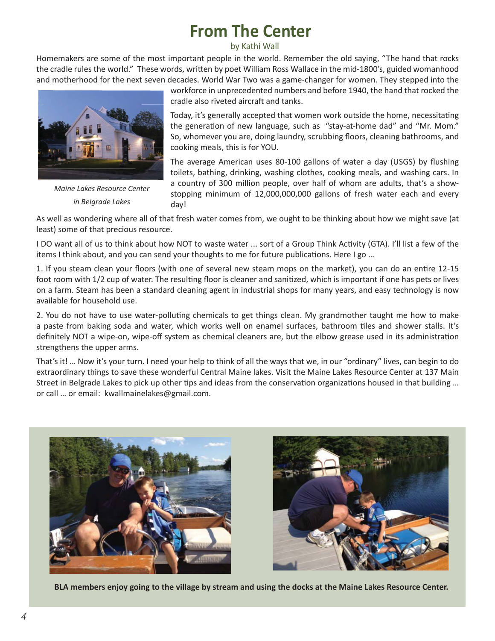## **From The Center**

by Kathi Wall

Homemakers are some of the most important people in the world. Remember the old saying, "The hand that rocks the cradle rules the world." These words, written by poet William Ross Wallace in the mid-1800's, guided womanhood and motherhood for the next seven decades. World War Two was a game-changer for women. They stepped into the



*Maine Lakes Resource Center in Belgrade Lakes*

workforce in unprecedented numbers and before 1940, the hand that rocked the cradle also riveted aircraft and tanks.

Today, it's generally accepted that women work outside the home, necessitating the generation of new language, such as "stay-at-home dad" and "Mr. Mom." So, whomever you are, doing laundry, scrubbing floors, cleaning bathrooms, and cooking meals, this is for YOU.

The average American uses 80-100 gallons of water a day (USGS) by flushing toilets, bathing, drinking, washing clothes, cooking meals, and washing cars. In a country of 300 million people, over half of whom are adults, that's a showstopping minimum of 12,000,000,000 gallons of fresh water each and every day!

As well as wondering where all of that fresh water comes from, we ought to be thinking about how we might save (at least) some of that precious resource.

I DO want all of us to think about how NOT to waste water ... sort of a Group Think Activity (GTA). I'll list a few of the items I think about, and you can send your thoughts to me for future publications. Here I go ...

1. If you steam clean your floors (with one of several new steam mops on the market), you can do an entire 12-15 foot room with 1/2 cup of water. The resulting floor is cleaner and sanitized, which is important if one has pets or lives on a farm. Steam has been a standard cleaning agent in industrial shops for many years, and easy technology is now available for household use.

2. You do not have to use water-polluting chemicals to get things clean. My grandmother taught me how to make a paste from baking soda and water, which works well on enamel surfaces, bathroom tiles and shower stalls. It's definitely NOT a wipe-on, wipe-off system as chemical cleaners are, but the elbow grease used in its administration strengthens the upper arms.

That's it! … Now it's your turn. I need your help to think of all the ways that we, in our "ordinary" lives, can begin to do extraordinary things to save these wonderful Central Maine lakes. Visit the Maine Lakes Resource Center at 137 Main Street in Belgrade Lakes to pick up other tips and ideas from the conservation organizations housed in that building ... or call … or email: kwallmainelakes@gmail.com.





**BLA members enjoy going to the village by stream and using the docks at the Maine Lakes Resource Center.**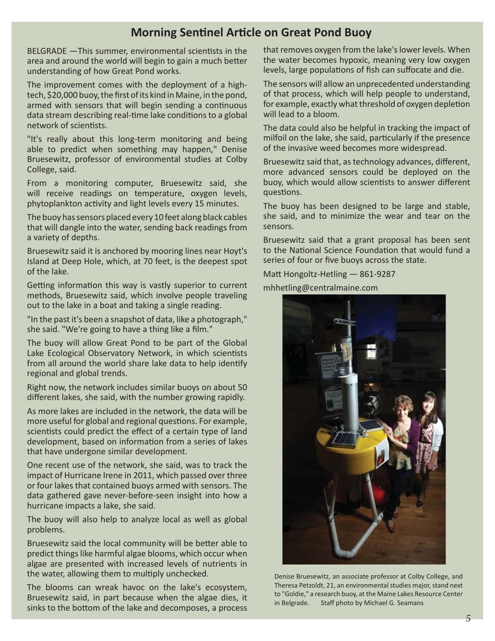## **Morning Sentinel Article on Great Pond Buoy**

BELGRADE - This summer, environmental scientists in the area and around the world will begin to gain a much better understanding of how Great Pond works.

The improvement comes with the deployment of a hightech, \$20,000 buoy, the first of its kind in Maine, in the pond, armed with sensors that will begin sending a continuous data stream describing real-time lake conditions to a global network of scientists.

"It's really about this long-term monitoring and being able to predict when something may happen," Denise Bruesewitz, professor of environmental studies at Colby College, said.

From a monitoring computer, Bruesewitz said, she will receive readings on temperature, oxygen levels, phytoplankton activity and light levels every 15 minutes.

The buoy has sensors placed every 10 feet along black cables that will dangle into the water, sending back readings from a variety of depths.

Bruesewitz said it is anchored by mooring lines near Hoyt's Island at Deep Hole, which, at 70 feet, is the deepest spot of the lake.

Getting information this way is vastly superior to current methods, Bruesewitz said, which involve people traveling out to the lake in a boat and taking a single reading.

"In the past it's been a snapshot of data, like a photograph," she said. "We're going to have a thing like a film."

The buoy will allow Great Pond to be part of the Global Lake Ecological Observatory Network, in which scientists from all around the world share lake data to help identify regional and global trends.

Right now, the network includes similar buoys on about 50 different lakes, she said, with the number growing rapidly.

As more lakes are included in the network, the data will be more useful for global and regional questions. For example, scientists could predict the effect of a certain type of land development, based on information from a series of lakes that have undergone similar development.

One recent use of the network, she said, was to track the impact of Hurricane Irene in 2011, which passed over three or four lakes that contained buoys armed with sensors. The data gathered gave never-before-seen insight into how a hurricane impacts a lake, she said.

The buoy will also help to analyze local as well as global problems.

Bruesewitz said the local community will be better able to predict things like harmful algae blooms, which occur when algae are presented with increased levels of nutrients in the water, allowing them to multiply unchecked.

The blooms can wreak havoc on the lake's ecosystem, Bruesewitz said, in part because when the algae dies, it sinks to the bottom of the lake and decomposes, a process

that removes oxygen from the lake's lower levels. When the water becomes hypoxic, meaning very low oxygen levels, large populations of fish can suffocate and die.

The sensors will allow an unprecedented understanding of that process, which will help people to understand, for example, exactly what threshold of oxygen depletion will lead to a bloom.

The data could also be helpful in tracking the impact of milfoil on the lake, she said, particularly if the presence of the invasive weed becomes more widespread.

Bruesewitz said that, as technology advances, different, more advanced sensors could be deployed on the buoy, which would allow scientists to answer different questions.

The buoy has been designed to be large and stable, she said, and to minimize the wear and tear on the sensors.

Bruesewitz said that a grant proposal has been sent to the National Science Foundation that would fund a series of four or five buoys across the state.

Matt Hongoltz-Hetling — 861-9287

mhhetling@centralmaine.com



Denise Bruesewitz, an associate professor at Colby College, and Theresa Petzoldt, 21, an environmental studies major, stand next to "Goldie," a research buoy, at the Maine Lakes Resource Center in Belgrade. Staff photo by Michael G. Seamans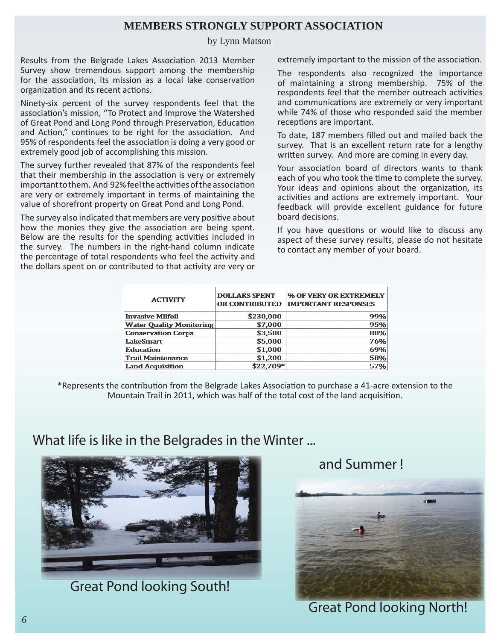## **MEMBERS STRONGLY SUPPORT ASSOCIATION**

#### by Lynn Matson

Results from the Belgrade Lakes Association 2013 Member Survey show tremendous support among the membership for the association, its mission as a local lake conservation organization and its recent actions.

Ninety-six percent of the survey respondents feel that the association's mission, "To Protect and Improve the Watershed of Great Pond and Long Pond through Preservation, Education and Action," continues to be right for the association. And 95% of respondents feel the association is doing a very good or extremely good job of accomplishing this mission.

The survey further revealed that 87% of the respondents feel that their membership in the association is very or extremely important to them. And 92% feel the activities of the association are very or extremely important in terms of maintaining the value of shorefront property on Great Pond and Long Pond.

The survey also indicated that members are very positive about how the monies they give the association are being spent. Below are the results for the spending activities included in the survey. The numbers in the right-hand column indicate the percentage of total respondents who feel the activity and the dollars spent on or contributed to that activity are very or

extremely important to the mission of the association.

The respondents also recognized the importance of maintaining a strong membership. 75% of the respondents feel that the member outreach activities and communications are extremely or very important while 74% of those who responded said the member receptions are important.

To date, 187 members filled out and mailed back the survey. That is an excellent return rate for a lengthy written survey. And more are coming in every day.

Your association board of directors wants to thank each of you who took the time to complete the survey. Your ideas and opinions about the organization, its activities and actions are extremely important. Your feedback will provide excellent guidance for future board decisions.

If you have questions or would like to discuss any aspect of these survey results, please do not hesitate to contact any member of your board.

| <b>ACTIVITY</b>                 | <b>DOLLARS SPENT</b><br>OR CONTRIBUTED | % OF VERY OR EXTREMELY<br><b>IMPORTANT RESPONSES</b> |
|---------------------------------|----------------------------------------|------------------------------------------------------|
| <b>Invasive Milfoil</b>         | \$230,000                              | 99%                                                  |
| <b>Water Quality Monitoring</b> | \$7,000                                | 95%                                                  |
| <b>Conservation Corps</b>       | \$3,500                                | 88%                                                  |
| LakeSmart                       | \$5,000                                | 76%                                                  |
| <b>Education</b>                | \$1,000                                | 69%                                                  |
| <b>Trail Maintenance</b>        | \$1,200                                | 58%                                                  |
| <b>Land Acquisition</b>         | \$22,709*                              | 57%                                                  |

\*Represents the contribution from the Belgrade Lakes Association to purchase a 41-acre extension to the Mountain Trail in 2011, which was half of the total cost of the land acquisition.

## What life is like in the Belgrades in the Winter ...



Great Pond looking South!

and Summer !



Great Pond looking North!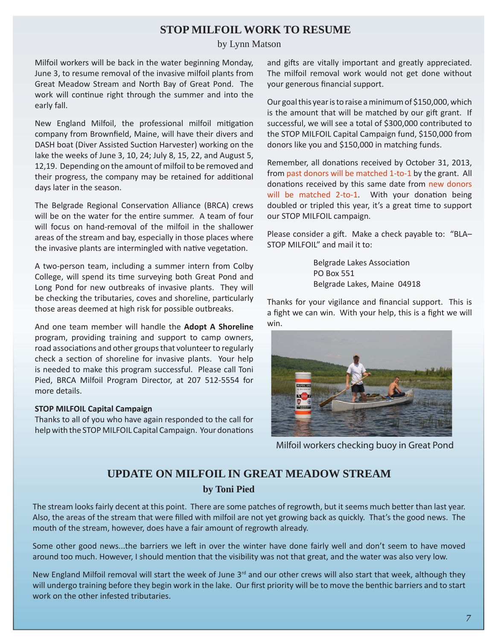## **STOP MILFOIL WORK TO RESUME**

#### by Lynn Matson

Milfoil workers will be back in the water beginning Monday, June 3, to resume removal of the invasive milfoil plants from Great Meadow Stream and North Bay of Great Pond. The work will continue right through the summer and into the early fall.

New England Milfoil, the professional milfoil mitigation company from Brownfield, Maine, will have their divers and DASH boat (Diver Assisted Suction Harvester) working on the lake the weeks of June 3, 10, 24; July 8, 15, 22, and August 5, 12,19. Depending on the amount of milfoil to be removed and their progress, the company may be retained for additional days later in the season.

The Belgrade Regional Conservation Alliance (BRCA) crews will be on the water for the entire summer. A team of four will focus on hand-removal of the milfoil in the shallower areas of the stream and bay, especially in those places where the invasive plants are intermingled with native vegetation.

A two-person team, including a summer intern from Colby College, will spend its time surveying both Great Pond and Long Pond for new outbreaks of invasive plants. They will be checking the tributaries, coves and shoreline, particularly those areas deemed at high risk for possible outbreaks.

And one team member will handle the **Adopt A Shoreline** program, providing training and support to camp owners, road associations and other groups that volunteer to regularly check a section of shoreline for invasive plants. Your help is needed to make this program successful. Please call Toni Pied, BRCA Milfoil Program Director, at 207 512-5554 for more details.

#### **STOP MILFOIL Capital Campaign**

Thanks to all of you who have again responded to the call for help with the STOP MILFOIL Capital Campaign. Your donations and gifts are vitally important and greatly appreciated. The milfoil removal work would not get done without your generous financial support.

Our goal this year is to raise a minimum of \$150,000, which is the amount that will be matched by our gift grant. If successful, we will see a total of \$300,000 contributed to the STOP MILFOIL Capital Campaign fund, \$150,000 from donors like you and \$150,000 in matching funds.

Remember, all donations received by October 31, 2013, from past donors will be matched 1-to-1 by the grant. All donations received by this same date from new donors will be matched 2-to-1. With your donation being doubled or tripled this year, it's a great time to support our STOP MILFOIL campaign.

Please consider a gift. Make a check payable to: "BLA-STOP MILFOIL" and mail it to:

> Belgrade Lakes Association PO Box 551 Belgrade Lakes, Maine 04918

Thanks for your vigilance and financial support. This is a fight we can win. With your help, this is a fight we will win.



Milfoil workers checking buoy in Great Pond

### **UPDATE ON MILFOIL IN GREAT MEADOW STREAM**

#### **by Toni Pied**

The stream looks fairly decent at this point. There are some patches of regrowth, but it seems much better than last year. Also, the areas of the stream that were filled with milfoil are not yet growing back as quickly. That's the good news. The mouth of the stream, however, does have a fair amount of regrowth already.

Some other good news...the barriers we left in over the winter have done fairly well and don't seem to have moved around too much. However, I should mention that the visibility was not that great, and the water was also very low.

New England Milfoil removal will start the week of June  $3<sup>rd</sup>$  and our other crews will also start that week, although they will undergo training before they begin work in the lake. Our first priority will be to move the benthic barriers and to start work on the other infested tributaries.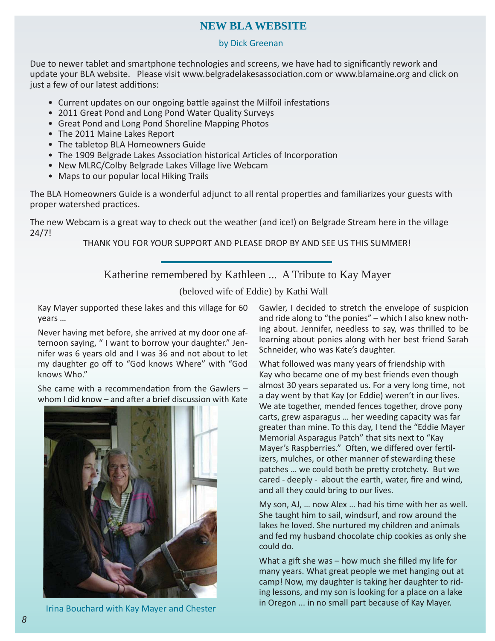## **NEW BLA WEBSITE**

#### by Dick Greenan

Due to newer tablet and smartphone technologies and screens, we have had to significantly rework and update your BLA website. Please visit www.belgradelakesassociation.com or www.blamaine.org and click on just a few of our latest additions:

- Current updates on our ongoing battle against the Milfoil infestations
- 2011 Great Pond and Long Pond Water Quality Surveys
- Great Pond and Long Pond Shoreline Mapping Photos
- The 2011 Maine Lakes Report
- The tabletop BLA Homeowners Guide
- The 1909 Belgrade Lakes Association historical Articles of Incorporation
- New MLRC/Colby Belgrade Lakes Village live Webcam
- Maps to our popular local Hiking Trails

The BLA Homeowners Guide is a wonderful adjunct to all rental properties and familiarizes your guests with proper watershed practices.

The new Webcam is a great way to check out the weather (and ice!) on Belgrade Stream here in the village 24/7!

THANK YOU FOR YOUR SUPPORT AND PLEASE DROP BY AND SEE US THIS SUMMER!

### Katherine remembered by Kathleen ... A Tribute to Kay Mayer

(beloved wife of Eddie) by Kathi Wall

Kay Mayer supported these lakes and this village for 60 years …

Never having met before, she arrived at my door one afternoon saying, " I want to borrow your daughter." Jennifer was 6 years old and I was 36 and not about to let my daughter go off to "God knows Where" with "God knows Who."

She came with a recommendation from the Gawlers  $$ whom I did know  $-$  and after a brief discussion with Kate



Irina Bouchard with Kay Mayer and Chester

Gawler, I decided to stretch the envelope of suspicion and ride along to "the ponies" – which I also knew nothing about. Jennifer, needless to say, was thrilled to be learning about ponies along with her best friend Sarah Schneider, who was Kate's daughter.

What followed was many years of friendship with Kay who became one of my best friends even though almost 30 years separated us. For a very long time, not a day went by that Kay (or Eddie) weren't in our lives. We ate together, mended fences together, drove pony carts, grew asparagus … her weeding capacity was far greater than mine. To this day, I tend the "Eddie Mayer Memorial Asparagus Patch" that sits next to "Kay Mayer's Raspberries." Often, we differed over fertilizers, mulches, or other manner of stewarding these patches ... we could both be pretty crotchety. But we cared - deeply - about the earth, water, fire and wind, and all they could bring to our lives.

My son, AJ, ... now Alex ... had his time with her as well. She taught him to sail, windsurf, and row around the lakes he loved. She nurtured my children and animals and fed my husband chocolate chip cookies as only she could do.

What a gift she was  $-$  how much she filled my life for many years. What great people we met hanging out at camp! Now, my daughter is taking her daughter to riding lessons, and my son is looking for a place on a lake in Oregon ... in no small part because of Kay Mayer.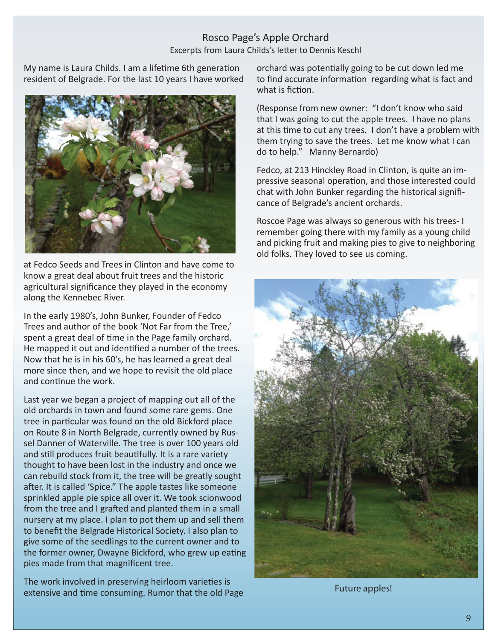### Rosco Page's Apple Orchard Excerpts from Laura Childs's letter to Dennis Keschl

My name is Laura Childs. I am a lifetime 6th generation resident of Belgrade. For the last 10 years I have worked



at Fedco Seeds and Trees in Clinton and have come to know a great deal about fruit trees and the historic agricultural significance they played in the economy along the Kennebec River.

In the early 1980's, John Bunker, Founder of Fedco Trees and author of the book 'Not Far from the Tree,' spent a great deal of time in the Page family orchard. He mapped it out and identified a number of the trees. Now that he is in his 60's, he has learned a great deal more since then, and we hope to revisit the old place and continue the work.

Last year we began a project of mapping out all of the old orchards in town and found some rare gems. One tree in particular was found on the old Bickford place on Route 8 in North Belgrade, currently owned by Russel Danner of Waterville. The tree is over 100 years old and still produces fruit beautifully. It is a rare variety thought to have been lost in the industry and once we can rebuild stock from it, the tree will be greatly sought after. It is called 'Spice." The apple tastes like someone sprinkled apple pie spice all over it. We took scionwood from the tree and I grafted and planted them in a small nursery at my place. I plan to pot them up and sell them to benefit the Belgrade Historical Society. I also plan to give some of the seedlings to the current owner and to the former owner, Dwayne Bickford, who grew up eating pies made from that magnificent tree.

The work involved in preserving heirloom varieties is extensive and time consuming. Rumor that the old Page orchard was potentially going to be cut down led me to find accurate information regarding what is fact and what is fiction.

(Response from new owner: "I don't know who said that I was going to cut the apple trees. I have no plans at this time to cut any trees. I don't have a problem with them trying to save the trees. Let me know what I can do to help." Manny Bernardo)

Fedco, at 213 Hinckley Road in Clinton, is quite an impressive seasonal operation, and those interested could chat with John Bunker regarding the historical significance of Belgrade's ancient orchards.

Roscoe Page was always so generous with his trees- I remember going there with my family as a young child and picking fruit and making pies to give to neighboring old folks. They loved to see us coming.



Future apples!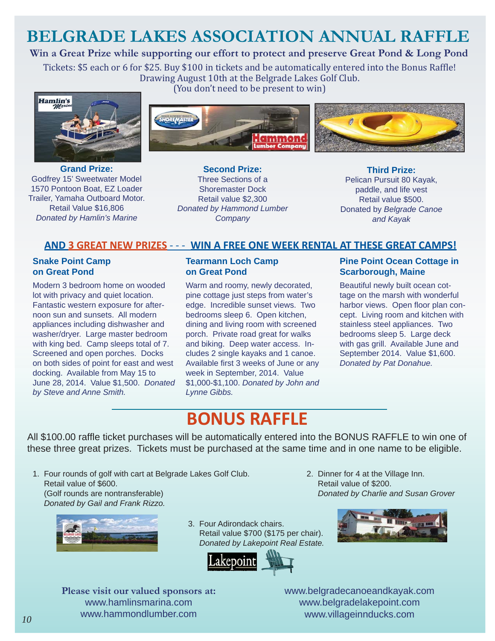## **BELGRADE LAKES ASSOCIATION ANNUAL RAFFLE**

## **Win a Great Prize while supporting our effort to protect and preserve Great Pond & Long Pond**

Tickets: \$5 each or 6 for \$25. Buy \$100 in tickets and be automatically entered into the Bonus Raffle! Drawing August 10th at the Belgrade Lakes Golf Club. (You don't need to be present to win)



**Grand Prize:**  Godfrey 15' Sweetwater Model 1570 Pontoon Boat, EZ Loader Trailer, Yamaha Outboard Motor. Retail Value \$16,806 *Donated by Hamlin's Marine* 



**Second Prize:**  Three Sections of a Shoremaster Dock Retail value \$2,300 *Donated by Hammond Lumber Company* 

**Third Prize:**  Pelican Pursuit 80 Kayak, paddle, and life vest

Retail value \$500. Donated by *Belgrade Canoe and Kayak*

### **AND 3 GREAT NEW PRIZES** - - - **WIN A FREE ONE WEEK RENTAL AT THESE GREAT CAMPS!**

#### **Snake Point Camp on Great Pond**

Modern 3 bedroom home on wooded lot with privacy and quiet location. Fantastic western exposure for afternoon sun and sunsets. All modern appliances including dishwasher and washer/dryer. Large master bedroom with king bed. Camp sleeps total of 7. Screened and open porches. Docks on both sides of point for east and west docking. Available from May 15 to June 28, 2014. Value \$1,500. *Donated by Steve and Anne Smith.*

#### **Tearmann Loch Camp on Great Pond**

Warm and roomy, newly decorated, pine cottage just steps from water's edge. Incredible sunset views. Two bedrooms sleep 6. Open kitchen, dining and living room with screened porch. Private road great for walks and biking. Deep water access. Includes 2 single kayaks and 1 canoe. Available first 3 weeks of June or any week in September, 2014. Value \$1,000-\$1,100. *Donated by John and Lynne Gibbs.*

#### **Pine Point Ocean Cottage in Scarborough, Maine**

Beautiful newly built ocean cottage on the marsh with wonderful harbor views. Open floor plan concept. Living room and kitchen with stainless steel appliances. Two bedrooms sleep 5. Large deck with gas grill. Available June and September 2014. Value \$1,600. *Donated by Pat Donahue.*

## **BONUS RAFFLE**

All \$100.00 raffle ticket purchases will be automatically entered into the BONUS RAFFLE to win one of these three great prizes. Tickets must be purchased at the same time and in one name to be eligible.

1. Four rounds of golf with cart at Belgrade Lakes Golf Club. Retail value of \$600. (Golf rounds are nontransferable)  *Donated by Gail and Frank Rizzo.* 



3. Four Adirondack chairs. Retail value \$700 (\$175 per chair). *Donated by Lakepoint Real Estate.*



 Retail value of \$200. *Donated by Charlie and Susan Grover* 

2. Dinner for 4 at the Village Inn.



**Please visit our valued sponsors at:**  www.hamlinsmarina.com www.hammondlumber.com

www.belgradecanoeandkayak.com www.belgradelakepoint.com www.villageinnducks.com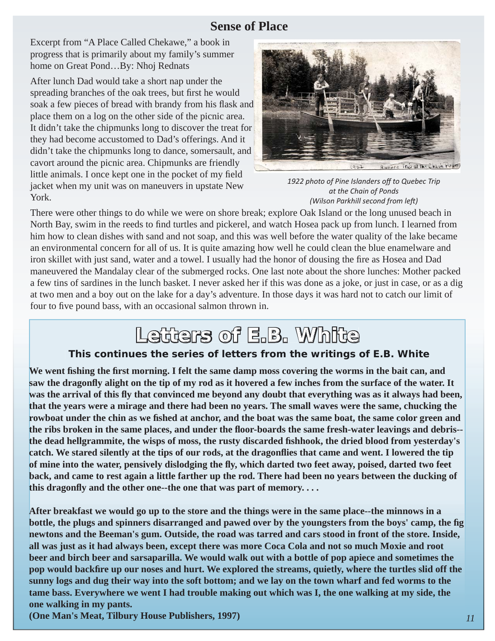## **Sense of Place**

Excerpt from "A Place Called Chekawe," a book in progress that is primarily about my family's summer home on Great Pond…By: Nhoj Rednats

After lunch Dad would take a short nap under the spreading branches of the oak trees, but first he would soak a few pieces of bread with brandy from his flask and place them on a log on the other side of the picnic area. It didn't take the chipmunks long to discover the treat for they had become accustomed to Dad's offerings. And it didn't take the chipmunks long to dance, somersault, and cavort around the picnic area. Chipmunks are friendly little animals. I once kept one in the pocket of my field jacket when my unit was on maneuvers in upstate New York.



*1922 photo of Pine Islanders off to Quebec Trip at the Chain of Ponds (Wilson Parkhill second from left )*

There were other things to do while we were on shore break; explore Oak Island or the long unused beach in North Bay, swim in the reeds to find turtles and pickerel, and watch Hosea pack up from lunch. I learned from him how to clean dishes with sand and not soap, and this was well before the water quality of the lake became an environmental concern for all of us. It is quite amazing how well he could clean the blue enamelware and iron skillet with just sand, water and a towel. I usually had the honor of dousing the fire as Hosea and Dad maneuvered the Mandalay clear of the submerged rocks. One last note about the shore lunches: Mother packed a few tins of sardines in the lunch basket. I never asked her if this was done as a joke, or just in case, or as a dig at two men and a boy out on the lake for a day's adventure. In those days it was hard not to catch our limit of four to five pound bass, with an occasional salmon thrown in.

## Letters of E.B. White

## **This continues the series of letters from the writings of E.B. White**

**We went fi shing the fi rst morning. I felt the same damp moss covering the worms in the bait can, and saw the dragonfl y alight on the tip of my rod as it hovered a few inches from the surface of the water. It**  was the arrival of this fly that convinced me beyond any doubt that everything was as it always had been, **that the years were a mirage and there had been no years. The small waves were the same, chucking the rowboat under the chin as we fi shed at anchor, and the boat was the same boat, the same color green and the ribs broken in the same places, and under the fl oor-boards the same fresh-water leavings and debris- the dead hellgrammite, the wisps of moss, the rusty discarded fi shhook, the dried blood from yesterday's catch. We stared silently at the tips of our rods, at the dragonfl ies that came and went. I lowered the tip of mine into the water, pensively dislodging the fl y, which darted two feet away, poised, darted two feet back, and came to rest again a little farther up the rod. There had been no years between the ducking of**  this dragonfly and the other one--the one that was part of memory....

**After breakfast we would go up to the store and the things were in the same place--the minnows in a bottle, the plugs and spinners disarranged and pawed over by the youngsters from the boys' camp, the fig. newtons and the Beeman's gum. Outside, the road was tarred and cars stood in front of the store. Inside, all was just as it had always been, except there was more Coca Cola and not so much Moxie and root beer and birch beer and sarsaparilla. We would walk out with a bottle of pop apiece and sometimes the pop would backfire up our noses and hurt. We explored the streams, quietly, where the turtles slid off the sunny logs and dug their way into the soft bottom; and we lay on the town wharf and fed worms to the tame bass. Everywhere we went I had trouble making out which was I, the one walking at my side, the one walking in my pants.**

**(One Man's Meat, Tilbury House Publishers, 1997)**